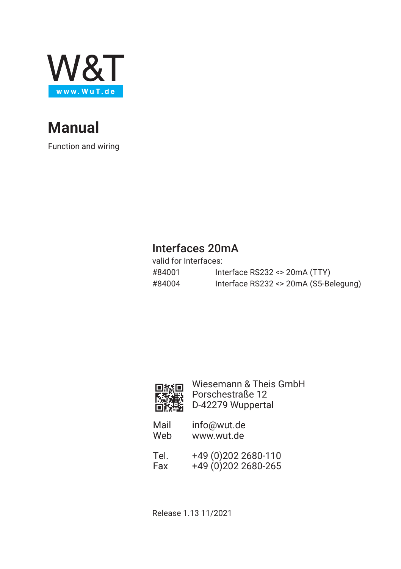

# **Manual**

Function and wiring

## Interfaces 20mA

| valid for Interfaces: |                                       |
|-----------------------|---------------------------------------|
| #84001                | Interface RS232 <> 20mA (TTY)         |
| #84004                | Interface RS232 <> 20mA (S5-Belegung) |



Wiesemann & Theis GmbH Porschestraße 12 D-42279 Wuppertal

- Mail info@wut.de<br>Web www.wut.de www.wut.de
- Tel. +49 (0)202 2680-110 Fax +49 (0)202 2680-265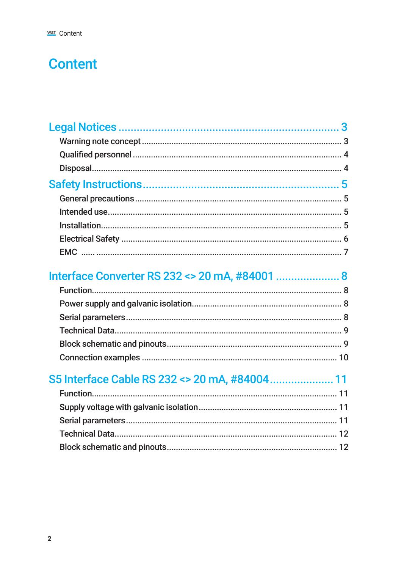# **Content**

## Interface Converter RS 232 <> 20 mA, #84001 ........................ 8

## S5 Interface Cable RS 232 <> 20 mA, #84004...................... 11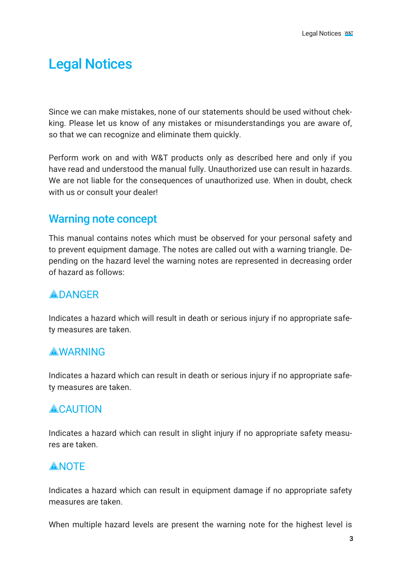## <span id="page-2-0"></span>Legal Notices

Since we can make mistakes, none of our statements should be used without chekking. Please let us know of any mistakes or misunderstandings you are aware of, so that we can recognize and eliminate them quickly.

Perform work on and with W&T products only as described here and only if you have read and understood the manual fully. Unauthorized use can result in hazards. We are not liable for the consequences of unauthorized use. When in doubt, check with us or consult your dealer!

#### Warning note concept

This manual contains notes which must be observed for your personal safety and to prevent equipment damage. The notes are called out with a warning triangle. Depending on the hazard level the warning notes are represented in decreasing order of hazard as follows:

#### **ADANGER**

Indicates a hazard which will result in death or serious injury if no appropriate safety measures are taken.

#### **AWARNING**

Indicates a hazard which can result in death or serious injury if no appropriate safety measures are taken.

#### **ACAUTION**

Indicates a hazard which can result in slight injury if no appropriate safety measures are taken.

#### **ANOTE**

Indicates a hazard which can result in equipment damage if no appropriate safety measures are taken.

When multiple hazard levels are present the warning note for the highest level is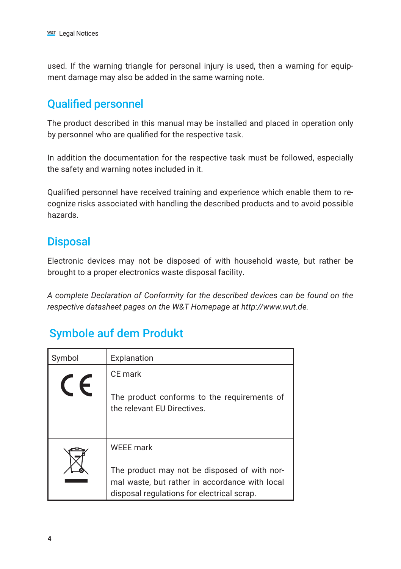<span id="page-3-0"></span>used. If the warning triangle for personal injury is used, then a warning for equipment damage may also be added in the same warning note.

## Qualified personnel

The product described in this manual may be installed and placed in operation only by personnel who are qualified for the respective task.

In addition the documentation for the respective task must be followed, especially the safety and warning notes included in it.

Qualified personnel have received training and experience which enable them to recognize risks associated with handling the described products and to avoid possible hazards.

### **Disposal**

Electronic devices may not be disposed of with household waste, but rather be brought to a proper electronics waste disposal facility.

*A complete Declaration of Conformity for the described devices can be found on the respective datasheet pages on the W&T Homepage at http://www.wut.de.*

## Symbole auf dem Produkt

| Symbol | Explanation                                                                                                                                  |
|--------|----------------------------------------------------------------------------------------------------------------------------------------------|
|        | CE mark                                                                                                                                      |
|        | The product conforms to the requirements of<br>the relevant EU Directives.                                                                   |
|        | <b>WEEE</b> mark                                                                                                                             |
|        | The product may not be disposed of with nor-<br>mal waste, but rather in accordance with local<br>disposal regulations for electrical scrap. |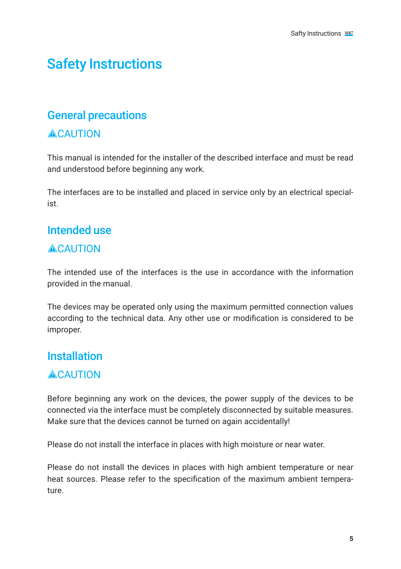# <span id="page-4-0"></span>Safety Instructions

#### General precautions

#### **ACAUTION**

This manual is intended for the installer of the described interface and must be read and understood before beginning any work.

The interfaces are to be installed and placed in service only by an electrical specialist.

## Intended use

#### **ACAUTION**

The intended use of the interfaces is the use in accordance with the information provided in the manual.

The devices may be operated only using the maximum permitted connection values according to the technical data. Any other use or modification is considered to be improper.

#### **Installation**

#### **ACAUTION**

Before beginning any work on the devices, the power supply of the devices to be connected via the interface must be completely disconnected by suitable measures. Make sure that the devices cannot be turned on again accidentally!

Please do not install the interface in places with high moisture or near water.

Please do not install the devices in places with high ambient temperature or near heat sources. Please refer to the specification of the maximum ambient temperature.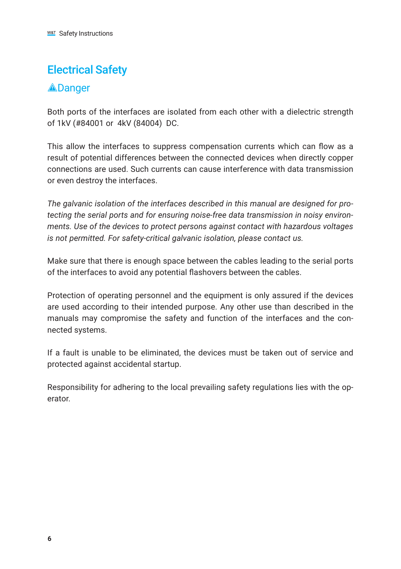## <span id="page-5-0"></span>Electrical Safety

#### **A**Danger

Both ports of the interfaces are isolated from each other with a dielectric strength of 1kV (#84001 or 4kV (84004) DC.

This allow the interfaces to suppress compensation currents which can flow as a result of potential differences between the connected devices when directly copper connections are used. Such currents can cause interference with data transmission or even destroy the interfaces.

*The galvanic isolation of the interfaces described in this manual are designed for protecting the serial ports and for ensuring noise-free data transmission in noisy environments. Use of the devices to protect persons against contact with hazardous voltages is not permitted. For safety-critical galvanic isolation, please contact us.*

Make sure that there is enough space between the cables leading to the serial ports of the interfaces to avoid any potential flashovers between the cables.

Protection of operating personnel and the equipment is only assured if the devices are used according to their intended purpose. Any other use than described in the manuals may compromise the safety and function of the interfaces and the connected systems.

If a fault is unable to be eliminated, the devices must be taken out of service and protected against accidental startup.

Responsibility for adhering to the local prevailing safety regulations lies with the operator.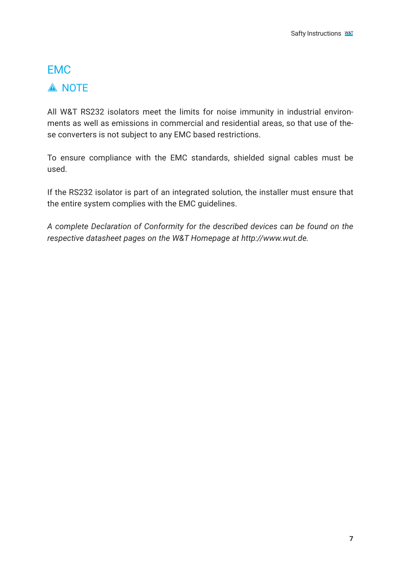## <span id="page-6-0"></span>EMC **A NOTE**

All W&T RS232 isolators meet the limits for noise immunity in industrial environments as well as emissions in commercial and residential areas, so that use of these converters is not subject to any EMC based restrictions.

To ensure compliance with the EMC standards, shielded signal cables must be used.

If the RS232 isolator is part of an integrated solution, the installer must ensure that the entire system complies with the EMC guidelines.

*A complete Declaration of Conformity for the described devices can be found on the respective datasheet pages on the W&T Homepage at http://www.wut.de.*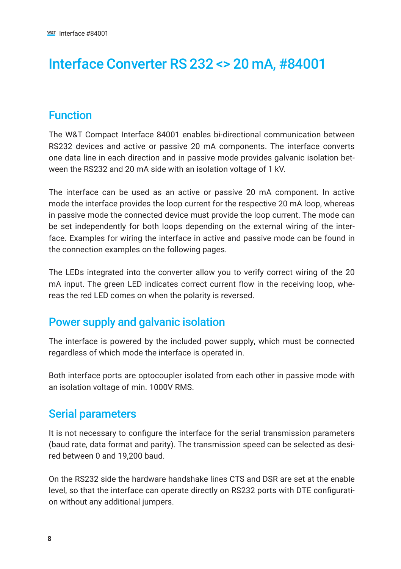# <span id="page-7-0"></span>Interface Converter RS 232 <> 20 mA, #84001

### Function

The W&T Compact Interface 84001 enables bi-directional communication between RS232 devices and active or passive 20 mA components. The interface converts one data line in each direction and in passive mode provides galvanic isolation between the RS232 and 20 mA side with an isolation voltage of 1 kV.

The interface can be used as an active or passive 20 mA component. In active mode the interface provides the loop current for the respective 20 mA loop, whereas in passive mode the connected device must provide the loop current. The mode can be set independently for both loops depending on the external wiring of the interface. Examples for wiring the interface in active and passive mode can be found in the connection examples on the following pages.

The LEDs integrated into the converter allow you to verify correct wiring of the 20 mA input. The green LED indicates correct current flow in the receiving loop, whereas the red LED comes on when the polarity is reversed.

### Power supply and galvanic isolation

The interface is powered by the included power supply, which must be connected regardless of which mode the interface is operated in.

Both interface ports are optocoupler isolated from each other in passive mode with an isolation voltage of min. 1000V RMS.

#### Serial parameters

It is not necessary to configure the interface for the serial transmission parameters (baud rate, data format and parity). The transmission speed can be selected as desired between 0 and 19,200 baud.

On the RS232 side the hardware handshake lines CTS and DSR are set at the enable level, so that the interface can operate directly on RS232 ports with DTE configuration without any additional jumpers.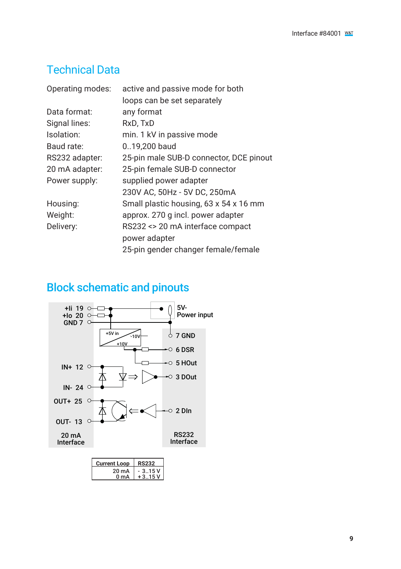## <span id="page-8-0"></span>Technical Data

| Operating modes: | active and passive mode for both        |
|------------------|-----------------------------------------|
|                  | loops can be set separately             |
| Data format:     | any format                              |
| Signal lines:    | RxD, TxD                                |
| Isolation:       | min. 1 kV in passive mode               |
| Baud rate:       | 019,200 baud                            |
| RS232 adapter:   | 25-pin male SUB-D connector, DCE pinout |
| 20 mA adapter:   | 25-pin female SUB-D connector           |
| Power supply:    | supplied power adapter                  |
|                  | 230V AC, 50Hz - 5V DC, 250mA            |
| Housing:         | Small plastic housing, 63 x 54 x 16 mm  |
| Weight:          | approx. 270 g incl. power adapter       |
| Delivery:        | RS232 <> 20 mA interface compact        |
|                  | power adapter                           |
|                  | 25-pin gender changer female/female     |
|                  |                                         |

## Block schematic and pinouts

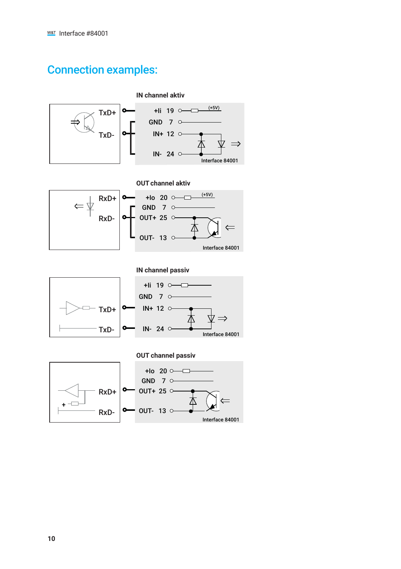### <span id="page-9-0"></span>Connection examples:





**IN channel passiv**



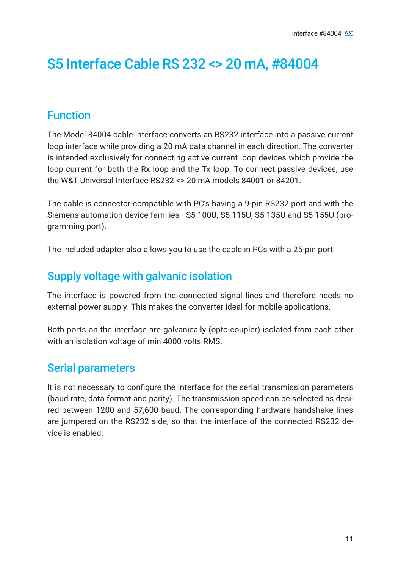# <span id="page-10-0"></span>S5 Interface Cable RS 232 <> 20 mA, #84004

### Function

The Model 84004 cable interface converts an RS232 interface into a passive current loop interface while providing a 20 mA data channel in each direction. The converter is intended exclusively for connecting active current loop devices which provide the loop current for both the Rx loop and the Tx loop. To connect passive devices, use the W&T Universal Interface RS232 <> 20 mA models 84001 or 84201.

The cable is connector-compatible with PC's having a 9-pin RS232 port and with the Siemens automation device families S5 100U, S5 115U, S5 135U and S5 155U (programming port).

The included adapter also allows you to use the cable in PCs with a 25-pin port.

## Supply voltage with galvanic isolation

The interface is powered from the connected signal lines and therefore needs no external power supply. This makes the converter ideal for mobile applications.

Both ports on the interface are galvanically (opto-coupler) isolated from each other with an isolation voltage of min 4000 volts RMS.

## Serial parameters

It is not necessary to configure the interface for the serial transmission parameters (baud rate, data format and parity). The transmission speed can be selected as desired between 1200 and 57,600 baud. The corresponding hardware handshake lines are jumpered on the RS232 side, so that the interface of the connected RS232 device is enabled.